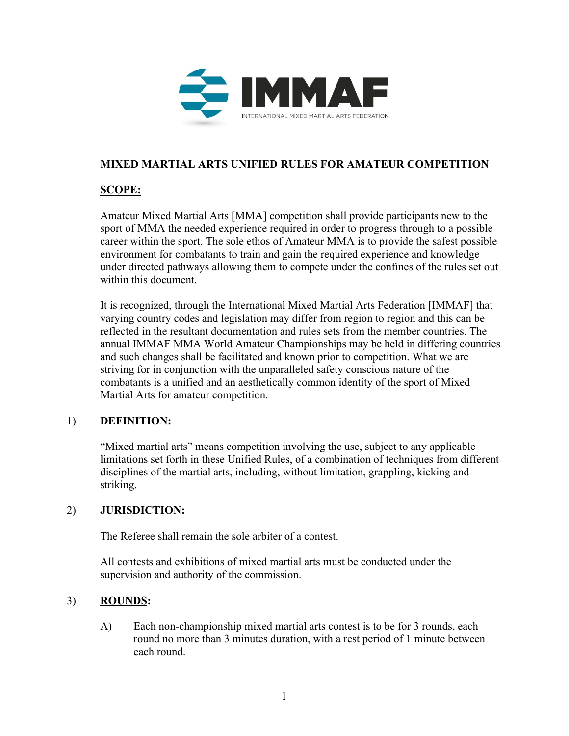

# **MIXED MARTIAL ARTS UNIFIED RULES FOR AMATEUR COMPETITION**

# **SCOPE:**

Amateur Mixed Martial Arts [MMA] competition shall provide participants new to the sport of MMA the needed experience required in order to progress through to a possible career within the sport. The sole ethos of Amateur MMA is to provide the safest possible environment for combatants to train and gain the required experience and knowledge under directed pathways allowing them to compete under the confines of the rules set out within this document.

It is recognized, through the International Mixed Martial Arts Federation [IMMAF] that varying country codes and legislation may differ from region to region and this can be reflected in the resultant documentation and rules sets from the member countries. The annual IMMAF MMA World Amateur Championships may be held in differing countries and such changes shall be facilitated and known prior to competition. What we are striving for in conjunction with the unparalleled safety conscious nature of the combatants is a unified and an aesthetically common identity of the sport of Mixed Martial Arts for amateur competition.

## 1) **DEFINITION:**

"Mixed martial arts" means competition involving the use, subject to any applicable limitations set forth in these Unified Rules, of a combination of techniques from different disciplines of the martial arts, including, without limitation, grappling, kicking and striking.

## 2) **JURISDICTION:**

The Referee shall remain the sole arbiter of a contest.

All contests and exhibitions of mixed martial arts must be conducted under the supervision and authority of the commission.

# 3) **ROUNDS:**

A) Each non-championship mixed martial arts contest is to be for 3 rounds, each round no more than 3 minutes duration, with a rest period of 1 minute between each round.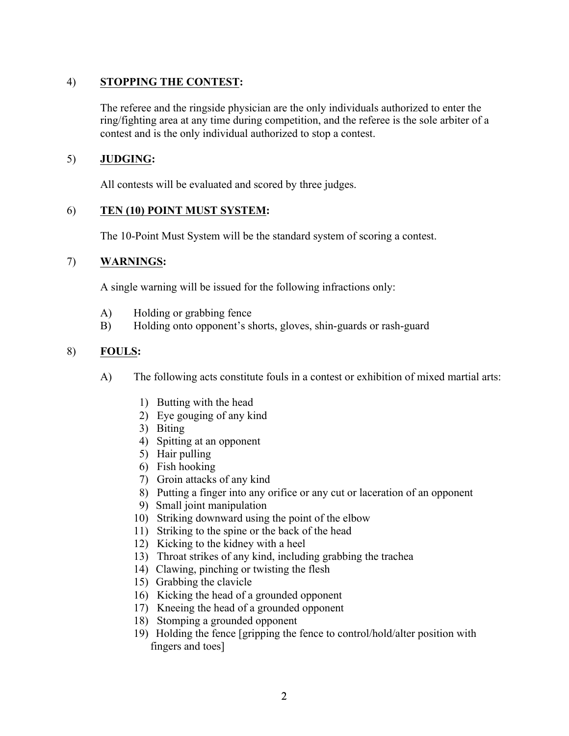# 4) **STOPPING THE CONTEST:**

The referee and the ringside physician are the only individuals authorized to enter the ring/fighting area at any time during competition, and the referee is the sole arbiter of a contest and is the only individual authorized to stop a contest.

## 5) **JUDGING:**

All contests will be evaluated and scored by three judges.

## 6) **TEN (10) POINT MUST SYSTEM:**

The 10-Point Must System will be the standard system of scoring a contest.

## 7) **WARNINGS:**

A single warning will be issued for the following infractions only:

- A) Holding or grabbing fence
- B) Holding onto opponent's shorts, gloves, shin-guards or rash-guard

# 8) **FOULS:**

- A) The following acts constitute fouls in a contest or exhibition of mixed martial arts:
	- 1) Butting with the head
	- 2) Eye gouging of any kind
	- 3) Biting
	- 4) Spitting at an opponent
	- 5) Hair pulling
	- 6) Fish hooking
	- 7) Groin attacks of any kind
	- 8) Putting a finger into any orifice or any cut or laceration of an opponent
	- 9) Small joint manipulation
	- 10) Striking downward using the point of the elbow
	- 11) Striking to the spine or the back of the head
	- 12) Kicking to the kidney with a heel
	- 13) Throat strikes of any kind, including grabbing the trachea
	- 14) Clawing, pinching or twisting the flesh
	- 15) Grabbing the clavicle
	- 16) Kicking the head of a grounded opponent
	- 17) Kneeing the head of a grounded opponent
	- 18) Stomping a grounded opponent
	- 19) Holding the fence [gripping the fence to control/hold/alter position with fingers and toes]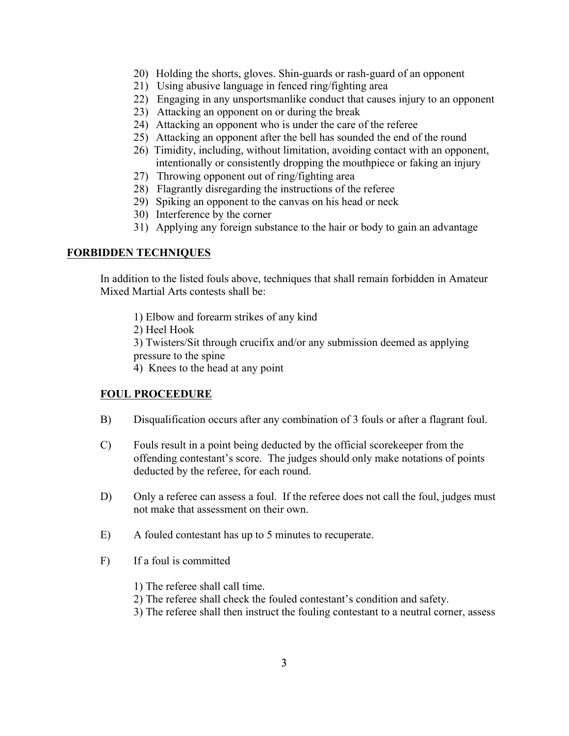- 20) Holding the shorts, gloves. Shin-guards or rash-guard of an opponent
- 21) Using abusive language in fenced ring/fighting area
- 22) Engaging in any unsportsmanlike conduct that causes injury to an opponent
- 23) Attacking an opponent on or during the break
- 24) Attacking an opponent who is under the care of the referee
- 25) Attacking an opponent after the bell has sounded the end of the round
- 26) Timidity, including, without limitation, avoiding contact with an opponent, intentionally or consistently dropping the mouthpiece or faking an injury
- 27) Throwing opponent out of ring/fighting area
- 28) Flagrantly disregarding the instructions of the referee
- 29) Spiking an opponent to the canvas on his head or neck
- 30) Interference by the corner
- 31) Applying any foreign substance to the hair or body to gain an advantage

### **FORBIDDEN TECHNIQUES**

In addition to the listed fouls above, techniques that shall remain forbidden in Amateur Mixed Martial Arts contests shall be:

- 1) Elbow and forearm strikes of any kind
- 2) Heel Hook

3) Twisters/Sit through crucifix and/or any submission deemed as applying pressure to the spine

4) Knees to the head at any point

## **FOUL PROCEEDURE**

- B) Disqualification occurs after any combination of 3 fouls or after a flagrant foul.
- C) Fouls result in a point being deducted by the official scorekeeper from the offending contestant's score. The judges should only make notations of points deducted by the referee, for each round.
- D) Only a referee can assess a foul. If the referee does not call the foul, judges must not make that assessment on their own.
- E) A fouled contestant has up to 5 minutes to recuperate.
- F) If a foul is committed
	- 1) The referee shall call time.
	- 2) The referee shall check the fouled contestant's condition and safety.
	- 3) The referee shall then instruct the fouling contestant to a neutral corner, assess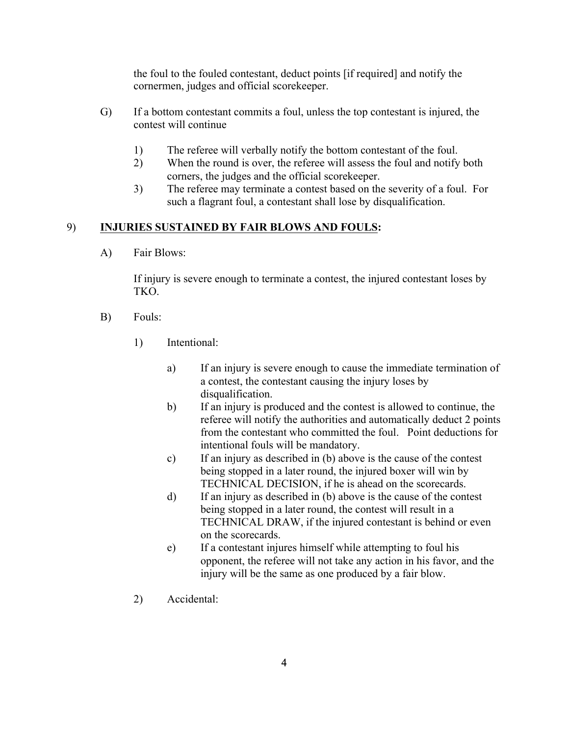the foul to the fouled contestant, deduct points [if required] and notify the cornermen, judges and official scorekeeper.

- G) If a bottom contestant commits a foul, unless the top contestant is injured, the contest will continue
	- 1) The referee will verbally notify the bottom contestant of the foul.
	- 2) When the round is over, the referee will assess the foul and notify both corners, the judges and the official scorekeeper.
	- 3) The referee may terminate a contest based on the severity of a foul. For such a flagrant foul, a contestant shall lose by disqualification.

### 9) **INJURIES SUSTAINED BY FAIR BLOWS AND FOULS:**

A) Fair Blows:

If injury is severe enough to terminate a contest, the injured contestant loses by TKO.

- B) Fouls:
	- 1) Intentional:
		- a) If an injury is severe enough to cause the immediate termination of a contest, the contestant causing the injury loses by disqualification.
		- b) If an injury is produced and the contest is allowed to continue, the referee will notify the authorities and automatically deduct 2 points from the contestant who committed the foul. Point deductions for intentional fouls will be mandatory.
		- c) If an injury as described in (b) above is the cause of the contest being stopped in a later round, the injured boxer will win by TECHNICAL DECISION, if he is ahead on the scorecards.
		- d) If an injury as described in (b) above is the cause of the contest being stopped in a later round, the contest will result in a TECHNICAL DRAW, if the injured contestant is behind or even on the scorecards.
		- e) If a contestant injures himself while attempting to foul his opponent, the referee will not take any action in his favor, and the injury will be the same as one produced by a fair blow.
	- 2) Accidental: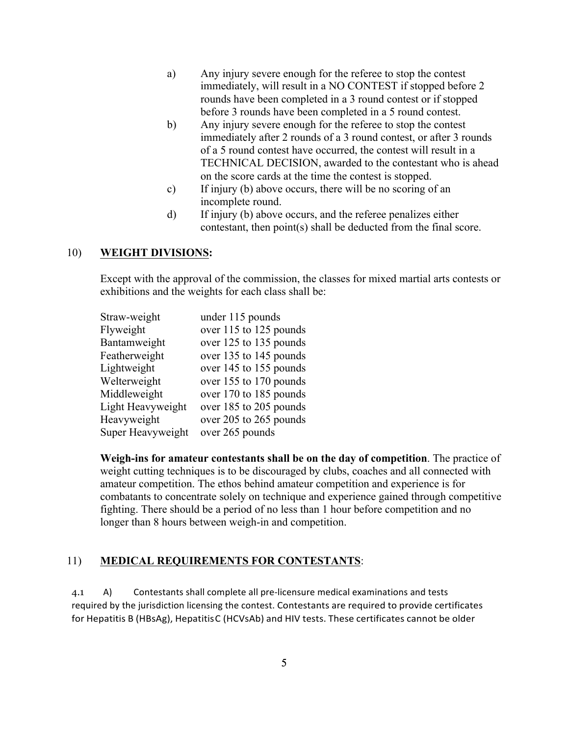- a) Any injury severe enough for the referee to stop the contest immediately, will result in a NO CONTEST if stopped before 2 rounds have been completed in a 3 round contest or if stopped before 3 rounds have been completed in a 5 round contest.
- b) Any injury severe enough for the referee to stop the contest immediately after 2 rounds of a 3 round contest, or after 3 rounds of a 5 round contest have occurred, the contest will result in a TECHNICAL DECISION, awarded to the contestant who is ahead on the score cards at the time the contest is stopped.
- c) If injury (b) above occurs, there will be no scoring of an incomplete round.
- d) If injury (b) above occurs, and the referee penalizes either contestant, then point(s) shall be deducted from the final score.

### 10) **WEIGHT DIVISIONS:**

Except with the approval of the commission, the classes for mixed martial arts contests or exhibitions and the weights for each class shall be:

| Straw-weight      | under 115 pounds       |
|-------------------|------------------------|
| Flyweight         | over 115 to 125 pounds |
| Bantamweight      | over 125 to 135 pounds |
| Featherweight     | over 135 to 145 pounds |
| Lightweight       | over 145 to 155 pounds |
| Welterweight      | over 155 to 170 pounds |
| Middleweight      | over 170 to 185 pounds |
| Light Heavyweight | over 185 to 205 pounds |
| Heavyweight       | over 205 to 265 pounds |
| Super Heavyweight | over 265 pounds        |

**Weigh-ins for amateur contestants shall be on the day of competition**. The practice of weight cutting techniques is to be discouraged by clubs, coaches and all connected with amateur competition. The ethos behind amateur competition and experience is for combatants to concentrate solely on technique and experience gained through competitive fighting. There should be a period of no less than 1 hour before competition and no longer than 8 hours between weigh-in and competition.

### 11) **MEDICAL REQUIREMENTS FOR CONTESTANTS**:

4.1 A) Contestants shall complete all pre-licensure medical examinations and tests required by the jurisdiction licensing the contest. Contestants are required to provide certificates for Hepatitis B (HBsAg), HepatitisC (HCVsAb) and HIV tests. These certificates cannot be older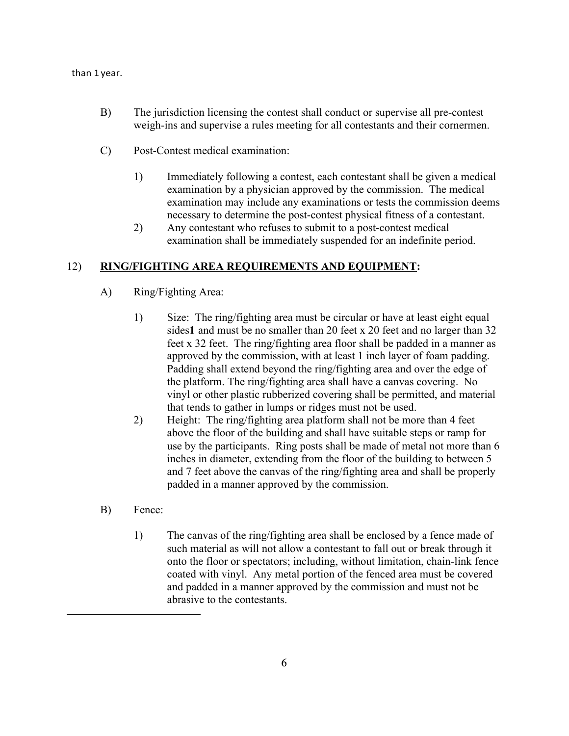### than 1 year.

- B) The jurisdiction licensing the contest shall conduct or supervise all pre-contest weigh-ins and supervise a rules meeting for all contestants and their cornermen.
- C) Post-Contest medical examination:
	- 1) Immediately following a contest, each contestant shall be given a medical examination by a physician approved by the commission. The medical examination may include any examinations or tests the commission deems necessary to determine the post-contest physical fitness of a contestant.
	- 2) Any contestant who refuses to submit to a post-contest medical examination shall be immediately suspended for an indefinite period.

### 12) **RING/FIGHTING AREA REQUIREMENTS AND EQUIPMENT:**

- A) Ring/Fighting Area:
	- 1) Size: The ring/fighting area must be circular or have at least eight equal sides**1** and must be no smaller than 20 feet x 20 feet and no larger than 32 feet x 32 feet. The ring/fighting area floor shall be padded in a manner as approved by the commission, with at least 1 inch layer of foam padding. Padding shall extend beyond the ring/fighting area and over the edge of the platform. The ring/fighting area shall have a canvas covering. No vinyl or other plastic rubberized covering shall be permitted, and material that tends to gather in lumps or ridges must not be used.
	- 2) Height: The ring/fighting area platform shall not be more than 4 feet above the floor of the building and shall have suitable steps or ramp for use by the participants. Ring posts shall be made of metal not more than 6 inches in diameter, extending from the floor of the building to between 5 and 7 feet above the canvas of the ring/fighting area and shall be properly padded in a manner approved by the commission.
- B) Fence:

 $\overline{a}$ 

1) The canvas of the ring/fighting area shall be enclosed by a fence made of such material as will not allow a contestant to fall out or break through it onto the floor or spectators; including, without limitation, chain-link fence coated with vinyl. Any metal portion of the fenced area must be covered and padded in a manner approved by the commission and must not be abrasive to the contestants.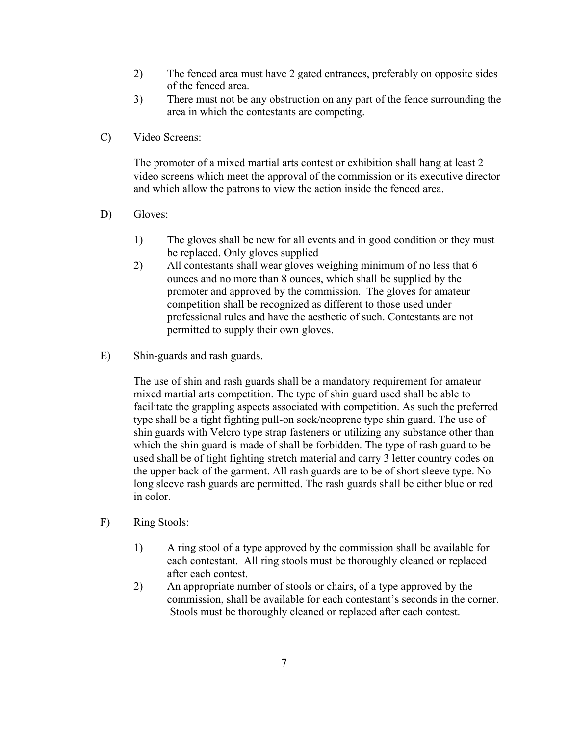- 2) The fenced area must have 2 gated entrances, preferably on opposite sides of the fenced area.
- 3) There must not be any obstruction on any part of the fence surrounding the area in which the contestants are competing.
- C) Video Screens:

The promoter of a mixed martial arts contest or exhibition shall hang at least 2 video screens which meet the approval of the commission or its executive director and which allow the patrons to view the action inside the fenced area.

- D) Gloves:
	- 1) The gloves shall be new for all events and in good condition or they must be replaced. Only gloves supplied
	- 2) All contestants shall wear gloves weighing minimum of no less that 6 ounces and no more than 8 ounces, which shall be supplied by the promoter and approved by the commission. The gloves for amateur competition shall be recognized as different to those used under professional rules and have the aesthetic of such. Contestants are not permitted to supply their own gloves.
- E) Shin-guards and rash guards.

The use of shin and rash guards shall be a mandatory requirement for amateur mixed martial arts competition. The type of shin guard used shall be able to facilitate the grappling aspects associated with competition. As such the preferred type shall be a tight fighting pull-on sock/neoprene type shin guard. The use of shin guards with Velcro type strap fasteners or utilizing any substance other than which the shin guard is made of shall be forbidden. The type of rash guard to be used shall be of tight fighting stretch material and carry 3 letter country codes on the upper back of the garment. All rash guards are to be of short sleeve type. No long sleeve rash guards are permitted. The rash guards shall be either blue or red in color.

- F) Ring Stools:
	- 1) A ring stool of a type approved by the commission shall be available for each contestant. All ring stools must be thoroughly cleaned or replaced after each contest.
	- 2) An appropriate number of stools or chairs, of a type approved by the commission, shall be available for each contestant's seconds in the corner. Stools must be thoroughly cleaned or replaced after each contest.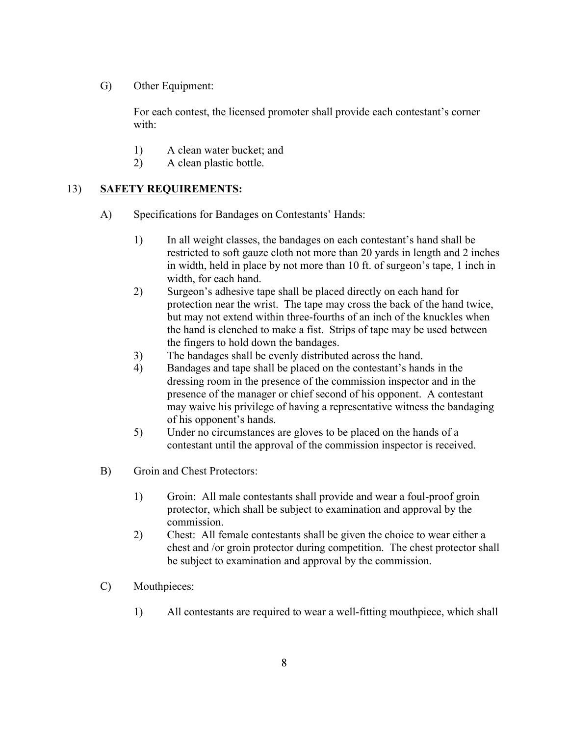G) Other Equipment:

For each contest, the licensed promoter shall provide each contestant's corner with:

- 1) A clean water bucket; and
- 2) A clean plastic bottle.

### 13) **SAFETY REQUIREMENTS:**

- A) Specifications for Bandages on Contestants' Hands:
	- 1) In all weight classes, the bandages on each contestant's hand shall be restricted to soft gauze cloth not more than 20 yards in length and 2 inches in width, held in place by not more than 10 ft. of surgeon's tape, 1 inch in width, for each hand.
	- 2) Surgeon's adhesive tape shall be placed directly on each hand for protection near the wrist. The tape may cross the back of the hand twice, but may not extend within three-fourths of an inch of the knuckles when the hand is clenched to make a fist. Strips of tape may be used between the fingers to hold down the bandages.
	- 3) The bandages shall be evenly distributed across the hand.
	- 4) Bandages and tape shall be placed on the contestant's hands in the dressing room in the presence of the commission inspector and in the presence of the manager or chief second of his opponent. A contestant may waive his privilege of having a representative witness the bandaging of his opponent's hands.
	- 5) Under no circumstances are gloves to be placed on the hands of a contestant until the approval of the commission inspector is received.
- B) Groin and Chest Protectors:
	- 1) Groin: All male contestants shall provide and wear a foul-proof groin protector, which shall be subject to examination and approval by the commission.
	- 2) Chest: All female contestants shall be given the choice to wear either a chest and /or groin protector during competition. The chest protector shall be subject to examination and approval by the commission.
- C) Mouthpieces:
	- 1) All contestants are required to wear a well-fitting mouthpiece, which shall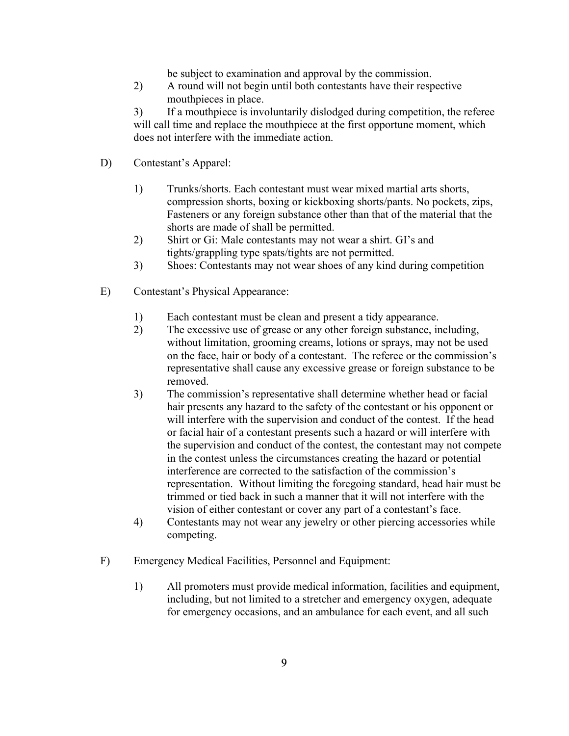be subject to examination and approval by the commission.

2) A round will not begin until both contestants have their respective mouthpieces in place.

3) If a mouthpiece is involuntarily dislodged during competition, the referee will call time and replace the mouthpiece at the first opportune moment, which does not interfere with the immediate action.

- D) Contestant's Apparel:
	- 1) Trunks/shorts. Each contestant must wear mixed martial arts shorts, compression shorts, boxing or kickboxing shorts/pants. No pockets, zips, Fasteners or any foreign substance other than that of the material that the shorts are made of shall be permitted.
	- 2) Shirt or Gi: Male contestants may not wear a shirt. GI's and tights/grappling type spats/tights are not permitted.
	- 3) Shoes: Contestants may not wear shoes of any kind during competition
- E) Contestant's Physical Appearance:
	- 1) Each contestant must be clean and present a tidy appearance.
	- 2) The excessive use of grease or any other foreign substance, including, without limitation, grooming creams, lotions or sprays, may not be used on the face, hair or body of a contestant. The referee or the commission's representative shall cause any excessive grease or foreign substance to be removed.
	- 3) The commission's representative shall determine whether head or facial hair presents any hazard to the safety of the contestant or his opponent or will interfere with the supervision and conduct of the contest. If the head or facial hair of a contestant presents such a hazard or will interfere with the supervision and conduct of the contest, the contestant may not compete in the contest unless the circumstances creating the hazard or potential interference are corrected to the satisfaction of the commission's representation. Without limiting the foregoing standard, head hair must be trimmed or tied back in such a manner that it will not interfere with the vision of either contestant or cover any part of a contestant's face.
	- 4) Contestants may not wear any jewelry or other piercing accessories while competing.
- F) Emergency Medical Facilities, Personnel and Equipment:
	- 1) All promoters must provide medical information, facilities and equipment, including, but not limited to a stretcher and emergency oxygen, adequate for emergency occasions, and an ambulance for each event, and all such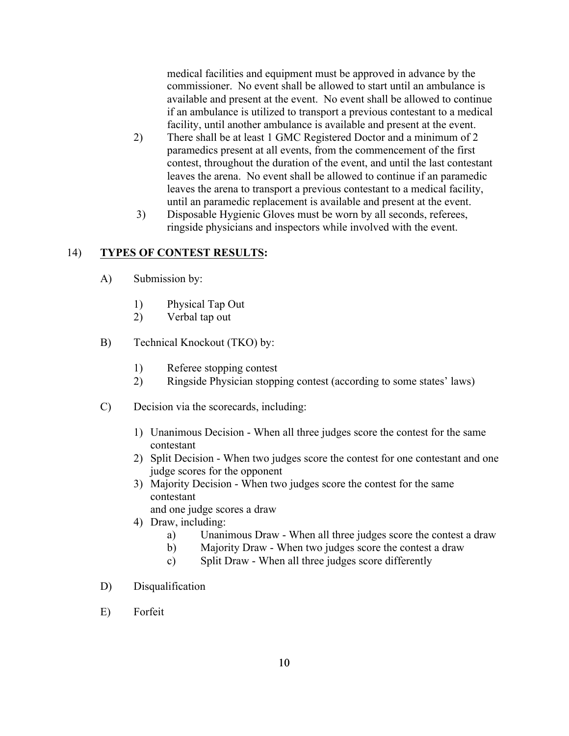medical facilities and equipment must be approved in advance by the commissioner. No event shall be allowed to start until an ambulance is available and present at the event. No event shall be allowed to continue if an ambulance is utilized to transport a previous contestant to a medical facility, until another ambulance is available and present at the event.

- 2) There shall be at least 1 GMC Registered Doctor and a minimum of 2 paramedics present at all events, from the commencement of the first contest, throughout the duration of the event, and until the last contestant leaves the arena. No event shall be allowed to continue if an paramedic leaves the arena to transport a previous contestant to a medical facility, until an paramedic replacement is available and present at the event.
- 3) Disposable Hygienic Gloves must be worn by all seconds, referees, ringside physicians and inspectors while involved with the event.

### 14) **TYPES OF CONTEST RESULTS:**

- A) Submission by:
	- 1) Physical Tap Out
	- 2) Verbal tap out
- B) Technical Knockout (TKO) by:
	- 1) Referee stopping contest
	- 2) Ringside Physician stopping contest (according to some states' laws)
- C) Decision via the scorecards, including:
	- 1) Unanimous Decision When all three judges score the contest for the same contestant
	- 2) Split Decision When two judges score the contest for one contestant and one judge scores for the opponent
	- 3) Majority Decision When two judges score the contest for the same contestant
		- and one judge scores a draw
	- 4) Draw, including:
		- a) Unanimous Draw When all three judges score the contest a draw
		- b) Majority Draw When two judges score the contest a draw
		- c) Split Draw When all three judges score differently
- D) Disqualification
- E) Forfeit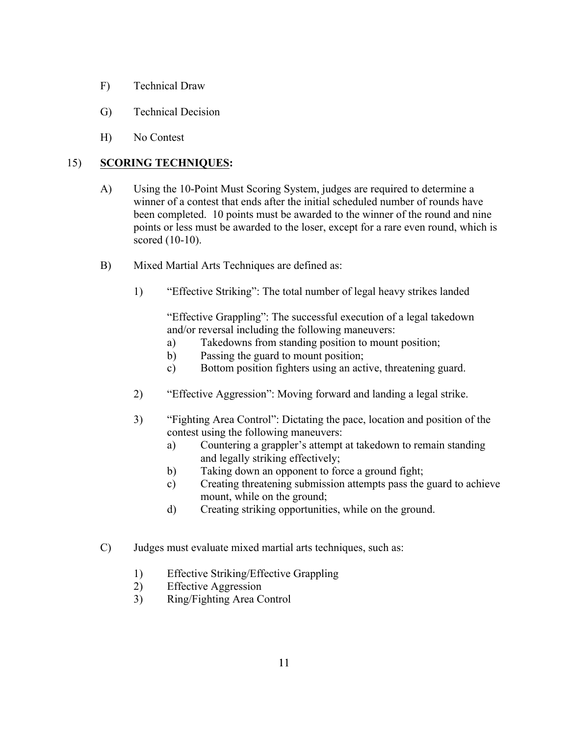- F) Technical Draw
- G) Technical Decision
- H) No Contest

### 15) **SCORING TECHNIQUES:**

- A) Using the 10-Point Must Scoring System, judges are required to determine a winner of a contest that ends after the initial scheduled number of rounds have been completed. 10 points must be awarded to the winner of the round and nine points or less must be awarded to the loser, except for a rare even round, which is scored (10-10).
- B) Mixed Martial Arts Techniques are defined as:
	- 1) "Effective Striking": The total number of legal heavy strikes landed

"Effective Grappling": The successful execution of a legal takedown and/or reversal including the following maneuvers:

- a) Takedowns from standing position to mount position;
- b) Passing the guard to mount position;
- c) Bottom position fighters using an active, threatening guard.
- 2) "Effective Aggression": Moving forward and landing a legal strike.
- 3) "Fighting Area Control": Dictating the pace, location and position of the contest using the following maneuvers:
	- a) Countering a grappler's attempt at takedown to remain standing and legally striking effectively;
	- b) Taking down an opponent to force a ground fight;
	- c) Creating threatening submission attempts pass the guard to achieve mount, while on the ground;
	- d) Creating striking opportunities, while on the ground.
- C) Judges must evaluate mixed martial arts techniques, such as:
	- 1) Effective Striking/Effective Grappling
	- 2) Effective Aggression
	- 3) Ring/Fighting Area Control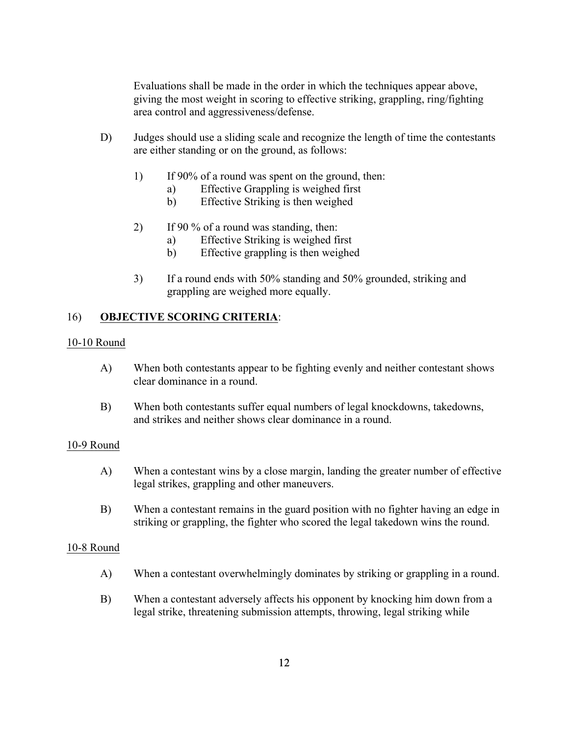Evaluations shall be made in the order in which the techniques appear above, giving the most weight in scoring to effective striking, grappling, ring/fighting area control and aggressiveness/defense.

- D) Judges should use a sliding scale and recognize the length of time the contestants are either standing or on the ground, as follows:
	- 1) If 90% of a round was spent on the ground, then:
		- a) Effective Grappling is weighed first
		- b) Effective Striking is then weighed
	- 2) If 90  $\%$  of a round was standing, then:
		- a) Effective Striking is weighed first
		- b) Effective grappling is then weighed
	- 3) If a round ends with 50% standing and 50% grounded, striking and grappling are weighed more equally.

### 16) **OBJECTIVE SCORING CRITERIA**:

#### 10-10 Round

- A) When both contestants appear to be fighting evenly and neither contestant shows clear dominance in a round.
- B) When both contestants suffer equal numbers of legal knockdowns, takedowns, and strikes and neither shows clear dominance in a round.

#### 10-9 Round

- A) When a contestant wins by a close margin, landing the greater number of effective legal strikes, grappling and other maneuvers.
- B) When a contestant remains in the guard position with no fighter having an edge in striking or grappling, the fighter who scored the legal takedown wins the round.

#### 10-8 Round

- A) When a contestant overwhelmingly dominates by striking or grappling in a round.
- B) When a contestant adversely affects his opponent by knocking him down from a legal strike, threatening submission attempts, throwing, legal striking while